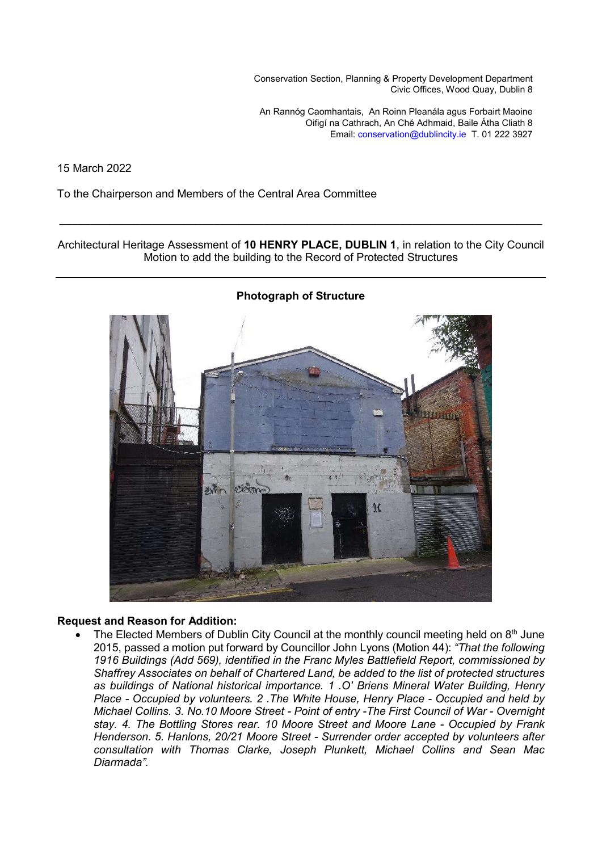Conservation Section, Planning & Property Development Department Civic Offices, Wood Quay, Dublin 8

An Rannóg Caomhantais, An Roinn Pleanála agus Forbairt Maoine Oifigí na Cathrach, An Ché Adhmaid, Baile Átha Cliath 8 Email: conservation@dublincity.ie T. 01 222 3927

15 March 2022

To the Chairperson and Members of the Central Area Committee

Architectural Heritage Assessment of **10 HENRY PLACE, DUBLIN 1**, in relation to the City Council Motion to add the building to the Record of Protected Structures

**\_\_\_\_\_\_\_\_\_\_\_\_\_\_\_\_\_\_\_\_\_\_\_\_\_\_\_\_\_\_\_\_\_\_\_\_\_\_\_\_\_\_\_\_\_\_\_\_\_\_\_\_\_\_\_\_\_\_\_\_\_\_\_\_\_\_\_\_\_\_\_\_\_\_\_\_\_\_**



### **Request and Reason for Addition:**

The Elected Members of Dublin City Council at the monthly council meeting held on  $8<sup>th</sup>$  June 2015, passed a motion put forward by Councillor John Lyons (Motion 44): *"That the following 1916 Buildings (Add 569), identified in the Franc Myles Battlefield Report, commissioned by Shaffrey Associates on behalf of Chartered Land, be added to the list of protected structures as buildings of National historical importance. 1 .O' Briens Mineral Water Building, Henry Place - Occupied by volunteers. 2 .The White House, Henry Place - Occupied and held by Michael Collins. 3. No.10 Moore Street - Point of entry -The First Council of War - Overnight stay. 4. The Bottling Stores rear. 10 Moore Street and Moore Lane - Occupied by Frank Henderson. 5. Hanlons, 20/21 Moore Street - Surrender order accepted by volunteers after consultation with Thomas Clarke, Joseph Plunkett, Michael Collins and Sean Mac Diarmada".*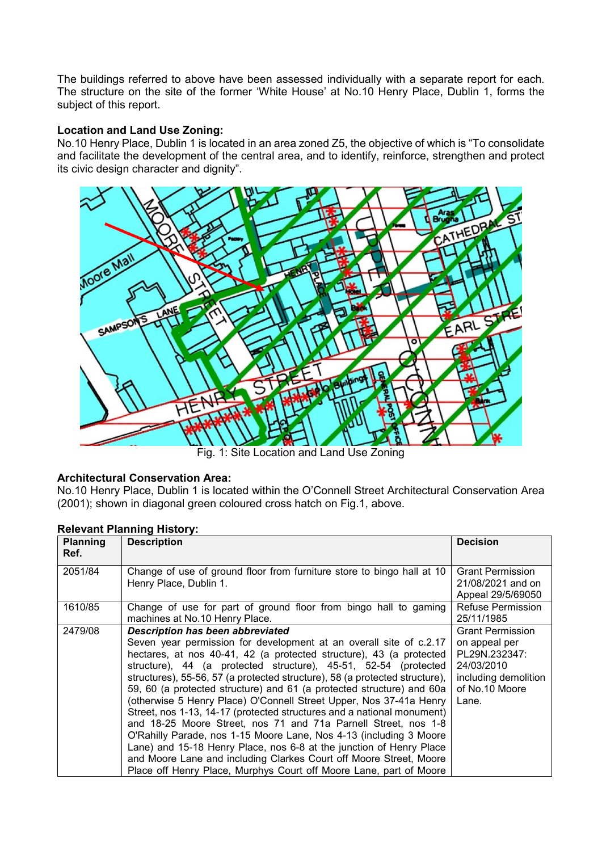The buildings referred to above have been assessed individually with a separate report for each. The structure on the site of the former 'White House' at No.10 Henry Place, Dublin 1, forms the subject of this report.

## **Location and Land Use Zoning:**

No.10 Henry Place, Dublin 1 is located in an area zoned Z5, the objective of which is "To consolidate and facilitate the development of the central area, and to identify, reinforce, strengthen and protect its civic design character and dignity".



Fig. 1: Site Location and Land Use Zoning

# **Architectural Conservation Area:**

No.10 Henry Place, Dublin 1 is located within the O'Connell Street Architectural Conservation Area (2001); shown in diagonal green coloured cross hatch on Fig.1, above.

# **Relevant Planning History:**

| <b>Planning</b><br>Ref. | <b>Description</b>                                                                                                                                                                                                                                                                                                                                                                                                                                                                                                                                                                                                                                                                                                                                                                                                                                                                                                         | <b>Decision</b>                                                                                                            |
|-------------------------|----------------------------------------------------------------------------------------------------------------------------------------------------------------------------------------------------------------------------------------------------------------------------------------------------------------------------------------------------------------------------------------------------------------------------------------------------------------------------------------------------------------------------------------------------------------------------------------------------------------------------------------------------------------------------------------------------------------------------------------------------------------------------------------------------------------------------------------------------------------------------------------------------------------------------|----------------------------------------------------------------------------------------------------------------------------|
| 2051/84                 | Change of use of ground floor from furniture store to bingo hall at 10<br>Henry Place, Dublin 1.                                                                                                                                                                                                                                                                                                                                                                                                                                                                                                                                                                                                                                                                                                                                                                                                                           | <b>Grant Permission</b><br>21/08/2021 and on<br>Appeal 29/5/69050                                                          |
| 1610/85                 | Change of use for part of ground floor from bingo hall to gaming<br>machines at No.10 Henry Place.                                                                                                                                                                                                                                                                                                                                                                                                                                                                                                                                                                                                                                                                                                                                                                                                                         | <b>Refuse Permission</b><br>25/11/1985                                                                                     |
| 2479/08                 | <b>Description has been abbreviated</b><br>Seven year permission for development at an overall site of c.2.17<br>hectares, at nos 40-41, 42 (a protected structure), 43 (a protected<br>structure), 44 (a protected structure), 45-51, 52-54 (protected<br>structures), 55-56, 57 (a protected structure), 58 (a protected structure),<br>59, 60 (a protected structure) and 61 (a protected structure) and 60a<br>(otherwise 5 Henry Place) O'Connell Street Upper, Nos 37-41a Henry<br>Street, nos 1-13, 14-17 (protected structures and a national monument)<br>and 18-25 Moore Street, nos 71 and 71a Parnell Street, nos 1-8<br>O'Rahilly Parade, nos 1-15 Moore Lane, Nos 4-13 (including 3 Moore<br>Lane) and 15-18 Henry Place, nos 6-8 at the junction of Henry Place<br>and Moore Lane and including Clarkes Court off Moore Street, Moore<br>Place off Henry Place, Murphys Court off Moore Lane, part of Moore | <b>Grant Permission</b><br>on appeal per<br>PL29N.232347:<br>24/03/2010<br>including demolition<br>of No.10 Moore<br>Lane. |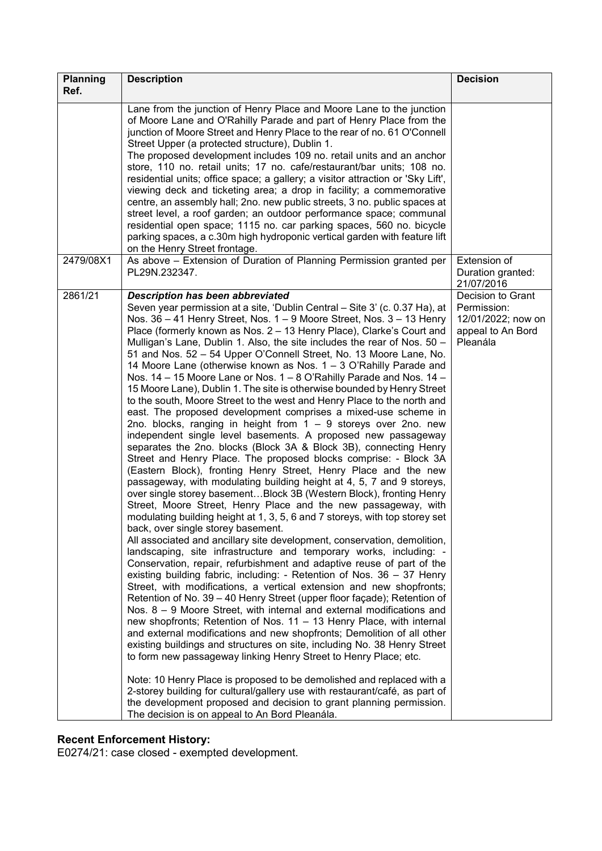| <b>Planning</b> | <b>Description</b>                                                                                                                                                                                                                                                                                                                                                                                                                                                                                                                                                                                                                                                                                                                                                                                                                                                                                                                                                                                                                                                                                                                                                                                                                                                                                                                                                                                                                                                                                                                                                                                                                                                                                                                                                                                                                                                                                                                                                                                                                                                                                                                                                                                                                                                                                                                                                                                                                                                                                                                                                                                          | <b>Decision</b>                                                                         |
|-----------------|-------------------------------------------------------------------------------------------------------------------------------------------------------------------------------------------------------------------------------------------------------------------------------------------------------------------------------------------------------------------------------------------------------------------------------------------------------------------------------------------------------------------------------------------------------------------------------------------------------------------------------------------------------------------------------------------------------------------------------------------------------------------------------------------------------------------------------------------------------------------------------------------------------------------------------------------------------------------------------------------------------------------------------------------------------------------------------------------------------------------------------------------------------------------------------------------------------------------------------------------------------------------------------------------------------------------------------------------------------------------------------------------------------------------------------------------------------------------------------------------------------------------------------------------------------------------------------------------------------------------------------------------------------------------------------------------------------------------------------------------------------------------------------------------------------------------------------------------------------------------------------------------------------------------------------------------------------------------------------------------------------------------------------------------------------------------------------------------------------------------------------------------------------------------------------------------------------------------------------------------------------------------------------------------------------------------------------------------------------------------------------------------------------------------------------------------------------------------------------------------------------------------------------------------------------------------------------------------------------------|-----------------------------------------------------------------------------------------|
| Ref.            |                                                                                                                                                                                                                                                                                                                                                                                                                                                                                                                                                                                                                                                                                                                                                                                                                                                                                                                                                                                                                                                                                                                                                                                                                                                                                                                                                                                                                                                                                                                                                                                                                                                                                                                                                                                                                                                                                                                                                                                                                                                                                                                                                                                                                                                                                                                                                                                                                                                                                                                                                                                                             |                                                                                         |
|                 | Lane from the junction of Henry Place and Moore Lane to the junction<br>of Moore Lane and O'Rahilly Parade and part of Henry Place from the<br>junction of Moore Street and Henry Place to the rear of no. 61 O'Connell<br>Street Upper (a protected structure), Dublin 1.<br>The proposed development includes 109 no. retail units and an anchor<br>store, 110 no. retail units; 17 no. cafe/restaurant/bar units; 108 no.<br>residential units; office space; a gallery; a visitor attraction or 'Sky Lift',<br>viewing deck and ticketing area; a drop in facility; a commemorative<br>centre, an assembly hall; 2no. new public streets, 3 no. public spaces at<br>street level, a roof garden; an outdoor performance space; communal<br>residential open space; 1115 no. car parking spaces, 560 no. bicycle<br>parking spaces, a c.30m high hydroponic vertical garden with feature lift<br>on the Henry Street frontage.                                                                                                                                                                                                                                                                                                                                                                                                                                                                                                                                                                                                                                                                                                                                                                                                                                                                                                                                                                                                                                                                                                                                                                                                                                                                                                                                                                                                                                                                                                                                                                                                                                                                           |                                                                                         |
| 2479/08X1       | As above - Extension of Duration of Planning Permission granted per<br>PL29N.232347.                                                                                                                                                                                                                                                                                                                                                                                                                                                                                                                                                                                                                                                                                                                                                                                                                                                                                                                                                                                                                                                                                                                                                                                                                                                                                                                                                                                                                                                                                                                                                                                                                                                                                                                                                                                                                                                                                                                                                                                                                                                                                                                                                                                                                                                                                                                                                                                                                                                                                                                        | Extension of<br>Duration granted:<br>21/07/2016                                         |
| 2861/21         | <b>Description has been abbreviated</b><br>Seven year permission at a site, 'Dublin Central - Site 3' (c. 0.37 Ha), at<br>Nos. 36 - 41 Henry Street, Nos. 1 - 9 Moore Street, Nos. 3 - 13 Henry<br>Place (formerly known as Nos. 2 - 13 Henry Place), Clarke's Court and<br>Mulligan's Lane, Dublin 1. Also, the site includes the rear of Nos. 50 -<br>51 and Nos. 52 - 54 Upper O'Connell Street, No. 13 Moore Lane, No.<br>14 Moore Lane (otherwise known as Nos. 1 – 3 O'Rahilly Parade and<br>Nos. 14 - 15 Moore Lane or Nos. 1 - 8 O'Rahilly Parade and Nos. 14 -<br>15 Moore Lane), Dublin 1. The site is otherwise bounded by Henry Street<br>to the south, Moore Street to the west and Henry Place to the north and<br>east. The proposed development comprises a mixed-use scheme in<br>2no. blocks, ranging in height from 1 - 9 storeys over 2no. new<br>independent single level basements. A proposed new passageway<br>separates the 2no. blocks (Block 3A & Block 3B), connecting Henry<br>Street and Henry Place. The proposed blocks comprise: - Block 3A<br>(Eastern Block), fronting Henry Street, Henry Place and the new<br>passageway, with modulating building height at 4, 5, 7 and 9 storeys,<br>over single storey basementBlock 3B (Western Block), fronting Henry<br>Street, Moore Street, Henry Place and the new passageway, with<br>modulating building height at 1, 3, 5, 6 and 7 storeys, with top storey set<br>back, over single storey basement.<br>All associated and ancillary site development, conservation, demolition,<br>landscaping, site infrastructure and temporary works, including: -<br>Conservation, repair, refurbishment and adaptive reuse of part of the<br>existing building fabric, including: - Retention of Nos. 36 - 37 Henry<br>Street, with modifications, a vertical extension and new shopfronts;<br>Retention of No. 39 - 40 Henry Street (upper floor façade); Retention of<br>Nos. 8 - 9 Moore Street, with internal and external modifications and<br>new shopfronts; Retention of Nos. 11 - 13 Henry Place, with internal<br>and external modifications and new shopfronts; Demolition of all other<br>existing buildings and structures on site, including No. 38 Henry Street<br>to form new passageway linking Henry Street to Henry Place; etc.<br>Note: 10 Henry Place is proposed to be demolished and replaced with a<br>2-storey building for cultural/gallery use with restaurant/café, as part of<br>the development proposed and decision to grant planning permission.<br>The decision is on appeal to An Bord Pleanála. | Decision to Grant<br>Permission:<br>12/01/2022; now on<br>appeal to An Bord<br>Pleanála |

### **Recent Enforcement History:**

E0274/21: case closed - exempted development.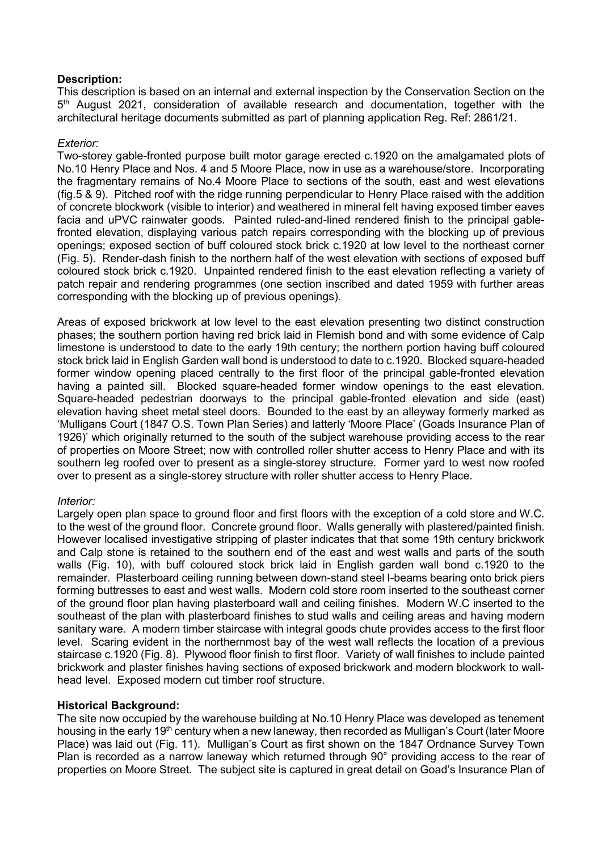# **Description:**

This description is based on an internal and external inspection by the Conservation Section on the  $5<sup>th</sup>$  August 2021, consideration of available research and documentation, together with the architectural heritage documents submitted as part of planning application Reg. Ref: 2861/21.

# *Exterior:*

Two-storey gable-fronted purpose built motor garage erected c.1920 on the amalgamated plots of No.10 Henry Place and Nos. 4 and 5 Moore Place, now in use as a warehouse/store. Incorporating the fragmentary remains of No.4 Moore Place to sections of the south, east and west elevations (fig.5 & 9). Pitched roof with the ridge running perpendicular to Henry Place raised with the addition of concrete blockwork (visible to interior) and weathered in mineral felt having exposed timber eaves facia and uPVC rainwater goods. Painted ruled-and-lined rendered finish to the principal gablefronted elevation, displaying various patch repairs corresponding with the blocking up of previous openings; exposed section of buff coloured stock brick c.1920 at low level to the northeast corner (Fig. 5). Render-dash finish to the northern half of the west elevation with sections of exposed buff coloured stock brick c.1920. Unpainted rendered finish to the east elevation reflecting a variety of patch repair and rendering programmes (one section inscribed and dated 1959 with further areas corresponding with the blocking up of previous openings).

Areas of exposed brickwork at low level to the east elevation presenting two distinct construction phases; the southern portion having red brick laid in Flemish bond and with some evidence of Calp limestone is understood to date to the early 19th century; the northern portion having buff coloured stock brick laid in English Garden wall bond is understood to date to c.1920. Blocked square-headed former window opening placed centrally to the first floor of the principal gable-fronted elevation having a painted sill. Blocked square-headed former window openings to the east elevation. Square-headed pedestrian doorways to the principal gable-fronted elevation and side (east) elevation having sheet metal steel doors. Bounded to the east by an alleyway formerly marked as 'Mulligans Court (1847 O.S. Town Plan Series) and latterly 'Moore Place' (Goads Insurance Plan of 1926)' which originally returned to the south of the subject warehouse providing access to the rear of properties on Moore Street; now with controlled roller shutter access to Henry Place and with its southern leg roofed over to present as a single-storey structure. Former yard to west now roofed over to present as a single-storey structure with roller shutter access to Henry Place.

# *Interior:*

Largely open plan space to ground floor and first floors with the exception of a cold store and W.C. to the west of the ground floor. Concrete ground floor. Walls generally with plastered/painted finish. However localised investigative stripping of plaster indicates that that some 19th century brickwork and Calp stone is retained to the southern end of the east and west walls and parts of the south walls (Fig. 10), with buff coloured stock brick laid in English garden wall bond c.1920 to the remainder. Plasterboard ceiling running between down-stand steel I-beams bearing onto brick piers forming buttresses to east and west walls. Modern cold store room inserted to the southeast corner of the ground floor plan having plasterboard wall and ceiling finishes. Modern W.C inserted to the southeast of the plan with plasterboard finishes to stud walls and ceiling areas and having modern sanitary ware. A modern timber staircase with integral goods chute provides access to the first floor level. Scaring evident in the northernmost bay of the west wall reflects the location of a previous staircase c.1920 (Fig. 8). Plywood floor finish to first floor. Variety of wall finishes to include painted brickwork and plaster finishes having sections of exposed brickwork and modern blockwork to wallhead level. Exposed modern cut timber roof structure.

# **Historical Background:**

The site now occupied by the warehouse building at No.10 Henry Place was developed as tenement housing in the early 19<sup>th</sup> century when a new laneway, then recorded as Mulligan's Court (later Moore Place) was laid out (Fig. 11). Mulligan's Court as first shown on the 1847 Ordnance Survey Town Plan is recorded as a narrow laneway which returned through 90° providing access to the rear of properties on Moore Street. The subject site is captured in great detail on Goad's Insurance Plan of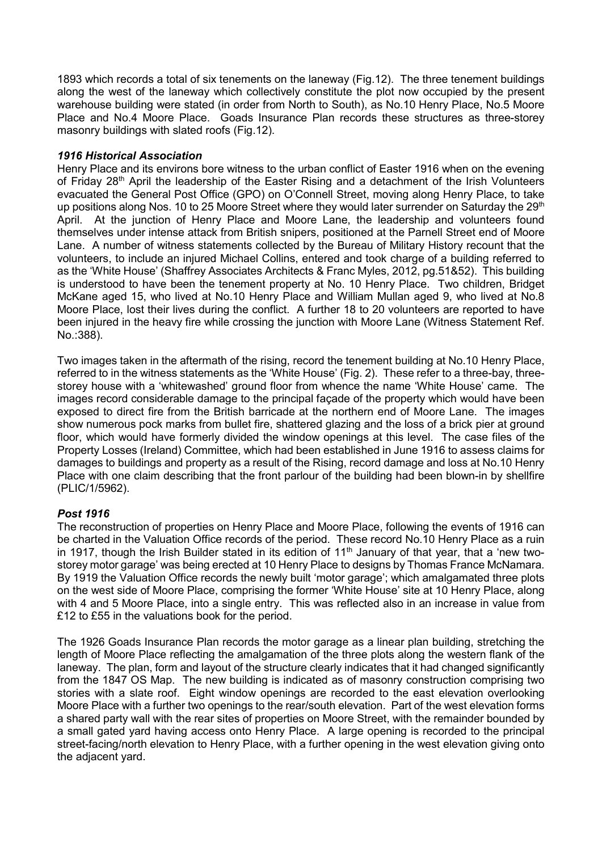1893 which records a total of six tenements on the laneway (Fig.12). The three tenement buildings along the west of the laneway which collectively constitute the plot now occupied by the present warehouse building were stated (in order from North to South), as No.10 Henry Place, No.5 Moore Place and No.4 Moore Place. Goads Insurance Plan records these structures as three-storey masonry buildings with slated roofs (Fig.12).

# *1916 Historical Association*

Henry Place and its environs bore witness to the urban conflict of Easter 1916 when on the evening of Friday 28<sup>th</sup> April the leadership of the Easter Rising and a detachment of the Irish Volunteers evacuated the General Post Office (GPO) on O'Connell Street, moving along Henry Place, to take up positions along Nos. 10 to 25 Moore Street where they would later surrender on Saturday the 29<sup>th</sup> April. At the junction of Henry Place and Moore Lane, the leadership and volunteers found themselves under intense attack from British snipers, positioned at the Parnell Street end of Moore Lane. A number of witness statements collected by the Bureau of Military History recount that the volunteers, to include an injured Michael Collins, entered and took charge of a building referred to as the 'White House' (Shaffrey Associates Architects & Franc Myles, 2012, pg.51&52). This building is understood to have been the tenement property at No. 10 Henry Place. Two children, Bridget McKane aged 15, who lived at No.10 Henry Place and William Mullan aged 9, who lived at No.8 Moore Place, lost their lives during the conflict. A further 18 to 20 volunteers are reported to have been injured in the heavy fire while crossing the junction with Moore Lane (Witness Statement Ref. No.:388).

Two images taken in the aftermath of the rising, record the tenement building at No.10 Henry Place, referred to in the witness statements as the 'White House' (Fig. 2). These refer to a three-bay, threestorey house with a 'whitewashed' ground floor from whence the name 'White House' came. The images record considerable damage to the principal façade of the property which would have been exposed to direct fire from the British barricade at the northern end of Moore Lane. The images show numerous pock marks from bullet fire, shattered glazing and the loss of a brick pier at ground floor, which would have formerly divided the window openings at this level. The case files of the Property Losses (Ireland) Committee, which had been established in June 1916 to assess claims for damages to buildings and property as a result of the Rising, record damage and loss at No.10 Henry Place with one claim describing that the front parlour of the building had been blown-in by shellfire (PLIC/1/5962).

# *Post 1916*

The reconstruction of properties on Henry Place and Moore Place, following the events of 1916 can be charted in the Valuation Office records of the period. These record No.10 Henry Place as a ruin in 1917, though the Irish Builder stated in its edition of 11<sup>th</sup> January of that year, that a 'new twostorey motor garage' was being erected at 10 Henry Place to designs by Thomas France McNamara. By 1919 the Valuation Office records the newly built 'motor garage'; which amalgamated three plots on the west side of Moore Place, comprising the former 'White House' site at 10 Henry Place, along with 4 and 5 Moore Place, into a single entry. This was reflected also in an increase in value from £12 to £55 in the valuations book for the period.

The 1926 Goads Insurance Plan records the motor garage as a linear plan building, stretching the length of Moore Place reflecting the amalgamation of the three plots along the western flank of the laneway. The plan, form and layout of the structure clearly indicates that it had changed significantly from the 1847 OS Map. The new building is indicated as of masonry construction comprising two stories with a slate roof. Eight window openings are recorded to the east elevation overlooking Moore Place with a further two openings to the rear/south elevation. Part of the west elevation forms a shared party wall with the rear sites of properties on Moore Street, with the remainder bounded by a small gated yard having access onto Henry Place. A large opening is recorded to the principal street-facing/north elevation to Henry Place, with a further opening in the west elevation giving onto the adjacent yard.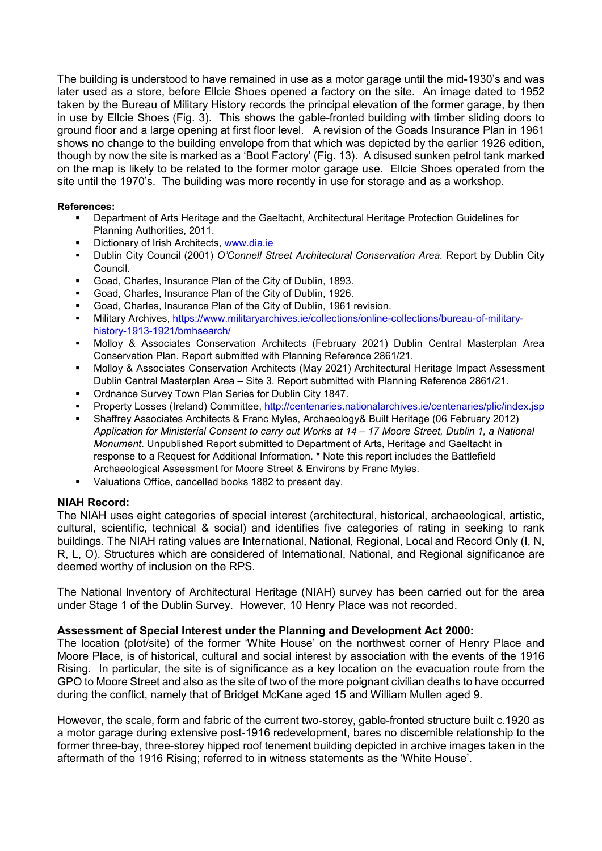The building is understood to have remained in use as a motor garage until the mid-1930's and was later used as a store, before Ellcie Shoes opened a factory on the site. An image dated to 1952 taken by the Bureau of Military History records the principal elevation of the former garage, by then in use by Ellcie Shoes (Fig. 3). This shows the gable-fronted building with timber sliding doors to ground floor and a large opening at first floor level. A revision of the Goads Insurance Plan in 1961 shows no change to the building envelope from that which was depicted by the earlier 1926 edition, though by now the site is marked as a 'Boot Factory' (Fig. 13). A disused sunken petrol tank marked on the map is likely to be related to the former motor garage use. Ellcie Shoes operated from the site until the 1970's. The building was more recently in use for storage and as a workshop.

## **References:**

- Department of Arts Heritage and the Gaeltacht, Architectural Heritage Protection Guidelines for Planning Authorities, 2011.
- **-** Dictionary of Irish Architects, www.dia.ie
- Dublin City Council (2001) *O'Connell Street Architectural Conservation Area.* Report by Dublin City Council.
- Goad, Charles, Insurance Plan of the City of Dublin, 1893.
- Goad, Charles, Insurance Plan of the City of Dublin, 1926.
- Goad, Charles, Insurance Plan of the City of Dublin, 1961 revision.
- Military Archives, https://www.militaryarchives.ie/collections/online-collections/bureau-of-militaryhistory-1913-1921/bmhsearch/
- Molloy & Associates Conservation Architects (February 2021) Dublin Central Masterplan Area Conservation Plan. Report submitted with Planning Reference 2861/21.
- Molloy & Associates Conservation Architects (May 2021) Architectural Heritage Impact Assessment Dublin Central Masterplan Area – Site 3. Report submitted with Planning Reference 2861/21.
- **Ordnance Survey Town Plan Series for Dublin City 1847.**
- Property Losses (Ireland) Committee, http://centenaries.nationalarchives.ie/centenaries/plic/index.jsp
- Shaffrey Associates Architects & Franc Myles, Archaeology& Built Heritage (06 February 2012) *Application for Ministerial Consent to carry out Works at 14 – 17 Moore Street, Dublin 1, a National Monument*. Unpublished Report submitted to Department of Arts, Heritage and Gaeltacht in response to a Request for Additional Information. \* Note this report includes the Battlefield Archaeological Assessment for Moore Street & Environs by Franc Myles.
- Valuations Office, cancelled books 1882 to present day.

# **NIAH Record:**

The NIAH uses eight categories of special interest (architectural, historical, archaeological, artistic, cultural, scientific, technical & social) and identifies five categories of rating in seeking to rank buildings. The NIAH rating values are International, National, Regional, Local and Record Only (I, N, R, L, O). Structures which are considered of International, National, and Regional significance are deemed worthy of inclusion on the RPS.

The National Inventory of Architectural Heritage (NIAH) survey has been carried out for the area under Stage 1 of the Dublin Survey. However, 10 Henry Place was not recorded.

# **Assessment of Special Interest under the Planning and Development Act 2000:**

The location (plot/site) of the former 'White House' on the northwest corner of Henry Place and Moore Place, is of historical, cultural and social interest by association with the events of the 1916 Rising. In particular, the site is of significance as a key location on the evacuation route from the GPO to Moore Street and also as the site of two of the more poignant civilian deaths to have occurred during the conflict, namely that of Bridget McKane aged 15 and William Mullen aged 9.

However, the scale, form and fabric of the current two-storey, gable-fronted structure built c.1920 as a motor garage during extensive post-1916 redevelopment, bares no discernible relationship to the former three-bay, three-storey hipped roof tenement building depicted in archive images taken in the aftermath of the 1916 Rising; referred to in witness statements as the 'White House'.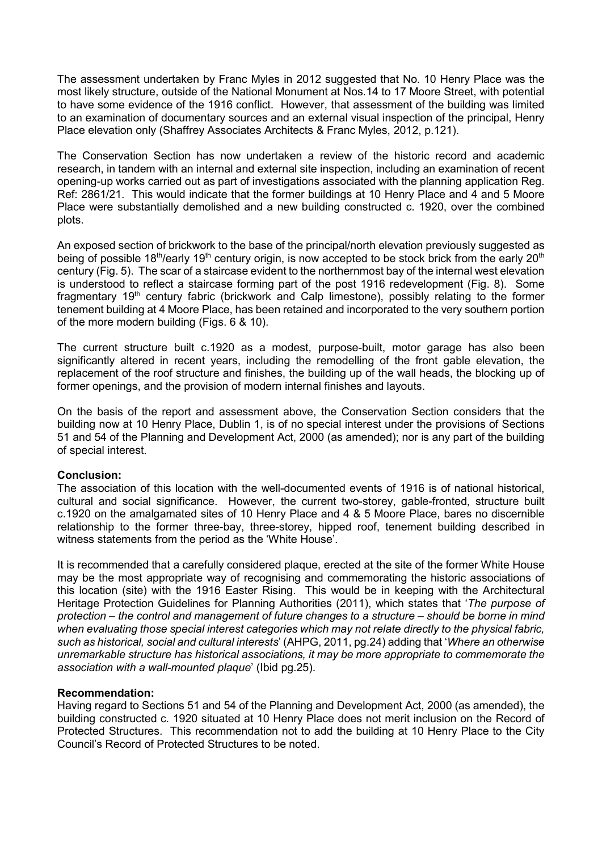The assessment undertaken by Franc Myles in 2012 suggested that No. 10 Henry Place was the most likely structure, outside of the National Monument at Nos.14 to 17 Moore Street, with potential to have some evidence of the 1916 conflict. However, that assessment of the building was limited to an examination of documentary sources and an external visual inspection of the principal, Henry Place elevation only (Shaffrey Associates Architects & Franc Myles, 2012, p.121).

The Conservation Section has now undertaken a review of the historic record and academic research, in tandem with an internal and external site inspection, including an examination of recent opening-up works carried out as part of investigations associated with the planning application Reg. Ref: 2861/21. This would indicate that the former buildings at 10 Henry Place and 4 and 5 Moore Place were substantially demolished and a new building constructed c. 1920, over the combined plots.

An exposed section of brickwork to the base of the principal/north elevation previously suggested as being of possible 18<sup>th</sup>/early 19<sup>th</sup> century origin, is now accepted to be stock brick from the early 20<sup>th</sup> century (Fig. 5). The scar of a staircase evident to the northernmost bay of the internal west elevation is understood to reflect a staircase forming part of the post 1916 redevelopment (Fig. 8). Some fragmentary 19<sup>th</sup> century fabric (brickwork and Calp limestone), possibly relating to the former tenement building at 4 Moore Place, has been retained and incorporated to the very southern portion of the more modern building (Figs. 6 & 10).

The current structure built c.1920 as a modest, purpose-built, motor garage has also been significantly altered in recent years, including the remodelling of the front gable elevation, the replacement of the roof structure and finishes, the building up of the wall heads, the blocking up of former openings, and the provision of modern internal finishes and layouts.

On the basis of the report and assessment above, the Conservation Section considers that the building now at 10 Henry Place, Dublin 1, is of no special interest under the provisions of Sections 51 and 54 of the Planning and Development Act, 2000 (as amended); nor is any part of the building of special interest.

# **Conclusion:**

The association of this location with the well-documented events of 1916 is of national historical, cultural and social significance. However, the current two-storey, gable-fronted, structure built c.1920 on the amalgamated sites of 10 Henry Place and 4 & 5 Moore Place, bares no discernible relationship to the former three-bay, three-storey, hipped roof, tenement building described in witness statements from the period as the 'White House'.

It is recommended that a carefully considered plaque, erected at the site of the former White House may be the most appropriate way of recognising and commemorating the historic associations of this location (site) with the 1916 Easter Rising. This would be in keeping with the Architectural Heritage Protection Guidelines for Planning Authorities (2011), which states that '*The purpose of protection – the control and management of future changes to a structure – should be borne in mind when evaluating those special interest categories which may not relate directly to the physical fabric, such as historical, social and cultural interests*' (AHPG, 2011, pg.24) adding that '*Where an otherwise unremarkable structure has historical associations, it may be more appropriate to commemorate the association with a wall-mounted plaque*' (Ibid pg.25).

### **Recommendation:**

Having regard to Sections 51 and 54 of the Planning and Development Act, 2000 (as amended), the building constructed c. 1920 situated at 10 Henry Place does not merit inclusion on the Record of Protected Structures. This recommendation not to add the building at 10 Henry Place to the City Council's Record of Protected Structures to be noted.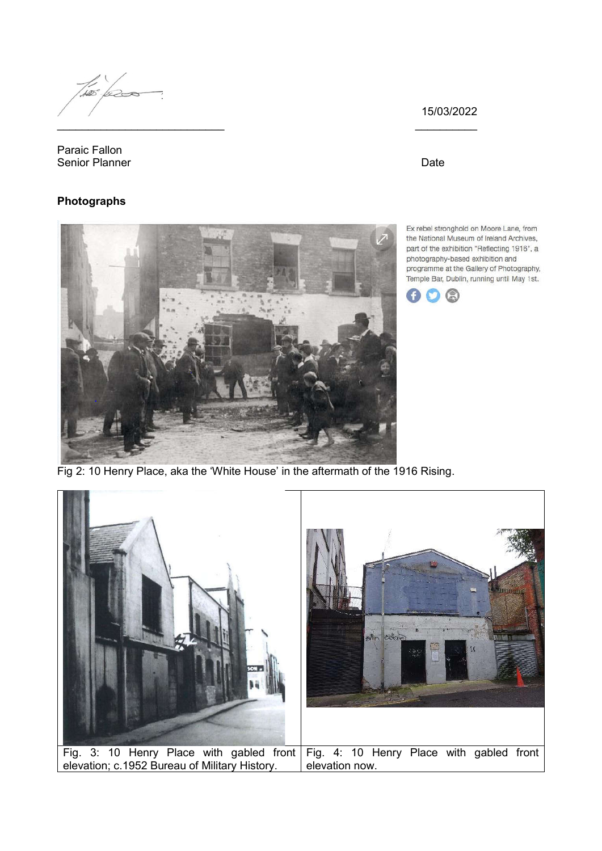Two les \_\_\_\_\_\_\_\_\_\_\_\_\_\_\_\_\_\_\_\_\_\_\_\_\_\_\_ \_\_\_\_\_\_\_\_\_\_

Paraic Fallon Senior Planner Date Controller and the Date Date Date Date

# **Photographs**

Ex rebel stronghold on Moore Lane, from the National Museum of Ireland Archives, part of the exhibition "Reflecting 1916", a photography-based exhibition and programme at the Gallery of Photography, Temple Bar, Dublin, running until May 1st.

15/03/2022



Fig 2: 10 Henry Place, aka the 'White House' in the aftermath of the 1916 Rising.

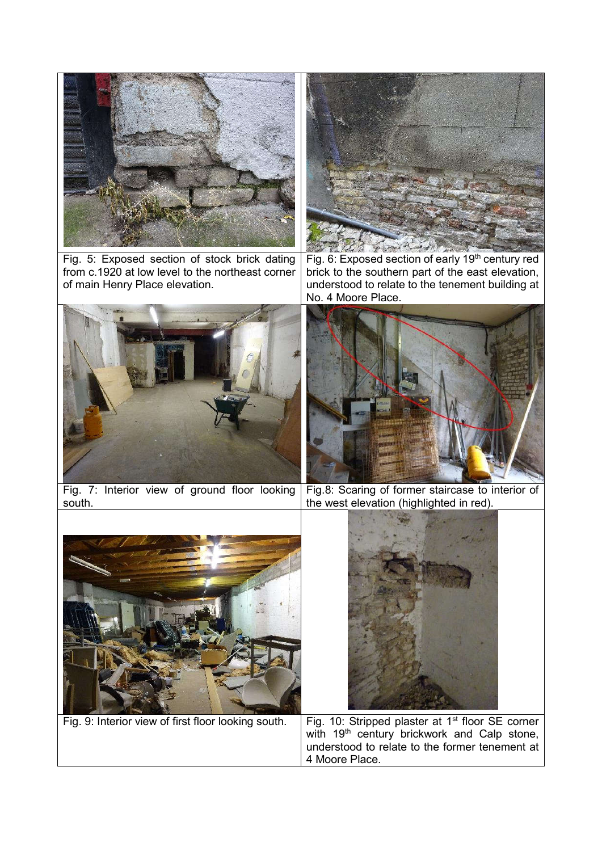

Fig. 5: Exposed section of stock brick dating from c.1920 at low level to the northeast corner of main Henry Place elevation.



Fig. 6: Exposed section of early 19<sup>th</sup> century red brick to the southern part of the east elevation, understood to relate to the tenement building at No. 4 Moore Place.





Fig. 7: Interior view of ground floor looking south. Fig.8: Scaring of former staircase to interior of



the west elevation (highlighted in red).



Fig. 9: Interior view of first floor looking south.  $\mid$  Fig. 10: Stripped plaster at 1<sup>st</sup> floor SE corner with 19<sup>th</sup> century brickwork and Calp stone, understood to relate to the former tenement at 4 Moore Place.